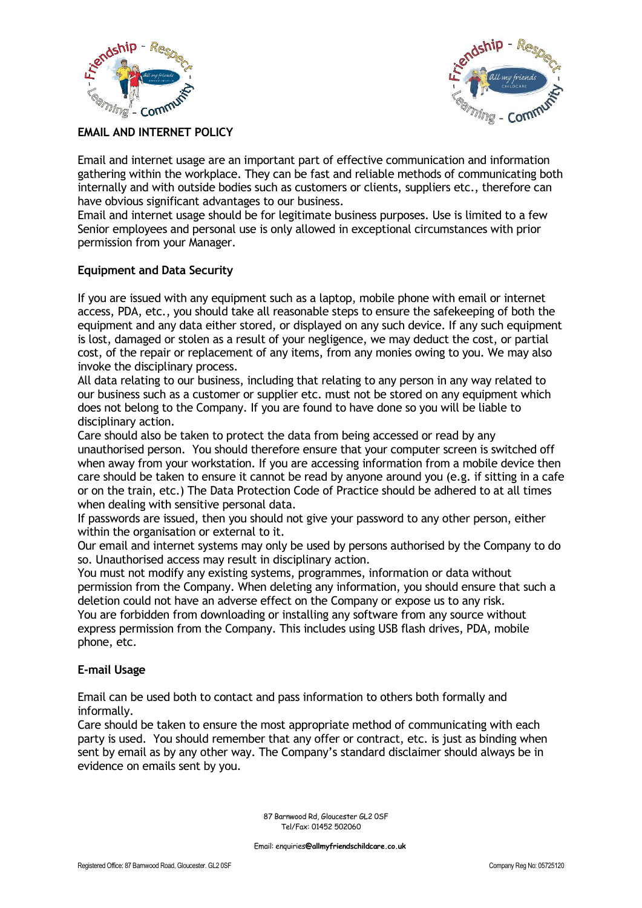



# **EMAIL AND INTERNET POLICY**

Email and internet usage are an important part of effective communication and information gathering within the workplace. They can be fast and reliable methods of communicating both internally and with outside bodies such as customers or clients, suppliers etc., therefore can have obvious significant advantages to our business.

Email and internet usage should be for legitimate business purposes. Use is limited to a few Senior employees and personal use is only allowed in exceptional circumstances with prior permission from your Manager.

# **Equipment and Data Security**

If you are issued with any equipment such as a laptop, mobile phone with email or internet access, PDA, etc., you should take all reasonable steps to ensure the safekeeping of both the equipment and any data either stored, or displayed on any such device. If any such equipment is lost, damaged or stolen as a result of your negligence, we may deduct the cost, or partial cost, of the repair or replacement of any items, from any monies owing to you. We may also invoke the disciplinary process.

All data relating to our business, including that relating to any person in any way related to our business such as a customer or supplier etc. must not be stored on any equipment which does not belong to the Company. If you are found to have done so you will be liable to disciplinary action.

Care should also be taken to protect the data from being accessed or read by any unauthorised person. You should therefore ensure that your computer screen is switched off when away from your workstation. If you are accessing information from a mobile device then care should be taken to ensure it cannot be read by anyone around you (e.g. if sitting in a cafe or on the train, etc.) The Data Protection Code of Practice should be adhered to at all times when dealing with sensitive personal data.

If passwords are issued, then you should not give your password to any other person, either within the organisation or external to it.

Our email and internet systems may only be used by persons authorised by the Company to do so. Unauthorised access may result in disciplinary action.

You must not modify any existing systems, programmes, information or data without permission from the Company. When deleting any information, you should ensure that such a deletion could not have an adverse effect on the Company or expose us to any risk. You are forbidden from downloading or installing any software from any source without

express permission from the Company. This includes using USB flash drives, PDA, mobile phone, etc.

# **E-mail Usage**

Email can be used both to contact and pass information to others both formally and informally.

Care should be taken to ensure the most appropriate method of communicating with each party is used. You should remember that any offer or contract, etc. is just as binding when sent by email as by any other way. The Company's standard disclaimer should always be in evidence on emails sent by you.

> 87 Barnwood Rd, Gloucester GL2 0SF Tel/Fax: 01452 502060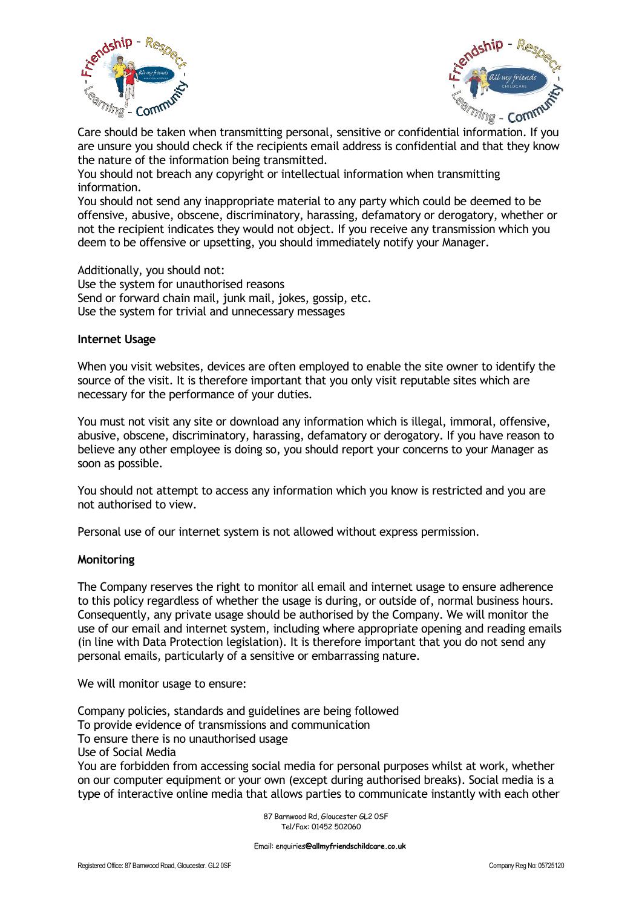



Care should be taken when transmitting personal, sensitive or confidential information. If you are unsure you should check if the recipients email address is confidential and that they know the nature of the information being transmitted.

You should not breach any copyright or intellectual information when transmitting information.

You should not send any inappropriate material to any party which could be deemed to be offensive, abusive, obscene, discriminatory, harassing, defamatory or derogatory, whether or not the recipient indicates they would not object. If you receive any transmission which you deem to be offensive or upsetting, you should immediately notify your Manager.

Additionally, you should not:

Use the system for unauthorised reasons Send or forward chain mail, junk mail, jokes, gossip, etc. Use the system for trivial and unnecessary messages

### **Internet Usage**

When you visit websites, devices are often employed to enable the site owner to identify the source of the visit. It is therefore important that you only visit reputable sites which are necessary for the performance of your duties.

You must not visit any site or download any information which is illegal, immoral, offensive, abusive, obscene, discriminatory, harassing, defamatory or derogatory. If you have reason to believe any other employee is doing so, you should report your concerns to your Manager as soon as possible.

You should not attempt to access any information which you know is restricted and you are not authorised to view.

Personal use of our internet system is not allowed without express permission.

### **Monitoring**

The Company reserves the right to monitor all email and internet usage to ensure adherence to this policy regardless of whether the usage is during, or outside of, normal business hours. Consequently, any private usage should be authorised by the Company. We will monitor the use of our email and internet system, including where appropriate opening and reading emails (in line with Data Protection legislation). It is therefore important that you do not send any personal emails, particularly of a sensitive or embarrassing nature.

We will monitor usage to ensure:

Company policies, standards and guidelines are being followed To provide evidence of transmissions and communication To ensure there is no unauthorised usage Use of Social Media You are forbidden from accessing social media for personal purposes whilst at work, whether on our computer equipment or your own (except during authorised breaks). Social media is a type of interactive online media that allows parties to communicate instantly with each other

> 87 Barnwood Rd, Gloucester GL2 0SF Tel/Fax: 01452 502060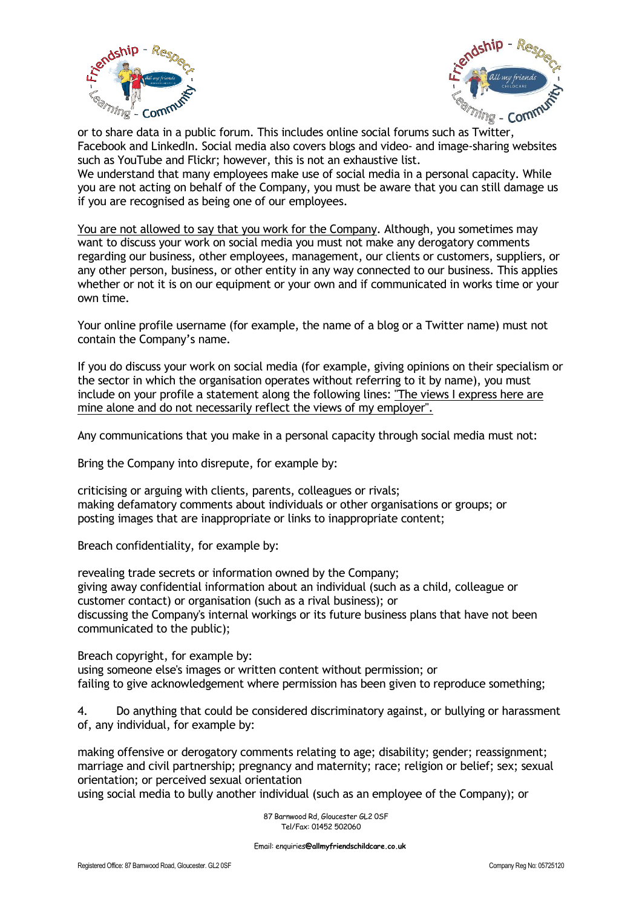



or to share data in a public forum. This includes online social forums such as Twitter, Facebook and LinkedIn. Social media also covers blogs and video- and image-sharing websites such as YouTube and Flickr; however, this is not an exhaustive list.

We understand that many employees make use of social media in a personal capacity. While you are not acting on behalf of the Company, you must be aware that you can still damage us if you are recognised as being one of our employees.

You are not allowed to say that you work for the Company. Although, you sometimes may want to discuss your work on social media you must not make any derogatory comments regarding our business, other employees, management, our clients or customers, suppliers, or any other person, business, or other entity in any way connected to our business. This applies whether or not it is on our equipment or your own and if communicated in works time or your own time.

Your online profile username (for example, the name of a blog or a Twitter name) must not contain the Company's name.

If you do discuss your work on social media (for example, giving opinions on their specialism or the sector in which the organisation operates without referring to it by name), you must include on your profile a statement along the following lines: "The views I express here are mine alone and do not necessarily reflect the views of my employer".

Any communications that you make in a personal capacity through social media must not:

Bring the Company into disrepute, for example by:

criticising or arguing with clients, parents, colleagues or rivals; making defamatory comments about individuals or other organisations or groups; or posting images that are inappropriate or links to inappropriate content;

Breach confidentiality, for example by:

revealing trade secrets or information owned by the Company; giving away confidential information about an individual (such as a child, colleague or customer contact) or organisation (such as a rival business); or discussing the Company's internal workings or its future business plans that have not been communicated to the public);

Breach copyright, for example by:

using someone else's images or written content without permission; or failing to give acknowledgement where permission has been given to reproduce something;

4. Do anything that could be considered discriminatory against, or bullying or harassment of, any individual, for example by:

making offensive or derogatory comments relating to age; disability; gender; reassignment; marriage and civil partnership; pregnancy and maternity; race; religion or belief; sex; sexual orientation; or perceived sexual orientation

using social media to bully another individual (such as an employee of the Company); or

 87 Barnwood Rd, Gloucester GL2 0SF Tel/Fax: 01452 502060